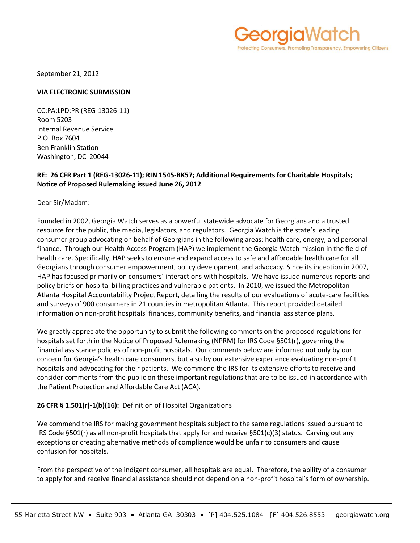rotecting Consumers, Promoting Transparency, Empowering Citizens

September 21, 2012

#### **VIA ELECTRONIC SUBMISSION**

CC:PA:LPD:PR (REG-13026-11) Room 5203 Internal Revenue Service P.O. Box 7604 Ben Franklin Station Washington, DC 20044

# **RE: 26 CFR Part 1 (REG-13026-11); RIN 1545-BK57; Additional Requirements for Charitable Hospitals; Notice of Proposed Rulemaking issued June 26, 2012**

Dear Sir/Madam:

Founded in 2002, Georgia Watch serves as a powerful statewide advocate for Georgians and a trusted resource for the public, the media, legislators, and regulators. Georgia Watch is the state's leading consumer group advocating on behalf of Georgians in the following areas: health care, energy, and personal finance. Through our Health Access Program (HAP) we implement the Georgia Watch mission in the field of health care. Specifically, HAP seeks to ensure and expand access to safe and affordable health care for all Georgians through consumer empowerment, policy development, and advocacy. Since its inception in 2007, HAP has focused primarily on consumers' interactions with hospitals. We have issued numerous reports and policy briefs on hospital billing practices and vulnerable patients. In 2010, we issued the Metropolitan Atlanta Hospital Accountability Project Report, detailing the results of our evaluations of acute-care facilities and surveys of 900 consumers in 21 counties in metropolitan Atlanta. This report provided detailed information on non-profit hospitals' finances, community benefits, and financial assistance plans.

We greatly appreciate the opportunity to submit the following comments on the proposed regulations for hospitals set forth in the Notice of Proposed Rulemaking (NPRM) for IRS Code §501(r), governing the financial assistance policies of non-profit hospitals. Our comments below are informed not only by our concern for Georgia's health care consumers, but also by our extensive experience evaluating non-profit hospitals and advocating for their patients. We commend the IRS for its extensive efforts to receive and consider comments from the public on these important regulations that are to be issued in accordance with the Patient Protection and Affordable Care Act (ACA).

# **26 CFR § 1.501(r)-1(b)(16):** Definition of Hospital Organizations

We commend the IRS for making government hospitals subject to the same regulations issued pursuant to IRS Code §501(r) as all non-profit hospitals that apply for and receive §501(c)(3) status. Carving out any exceptions or creating alternative methods of compliance would be unfair to consumers and cause confusion for hospitals.

From the perspective of the indigent consumer, all hospitals are equal. Therefore, the ability of a consumer to apply for and receive financial assistance should not depend on a non-profit hospital's form of ownership.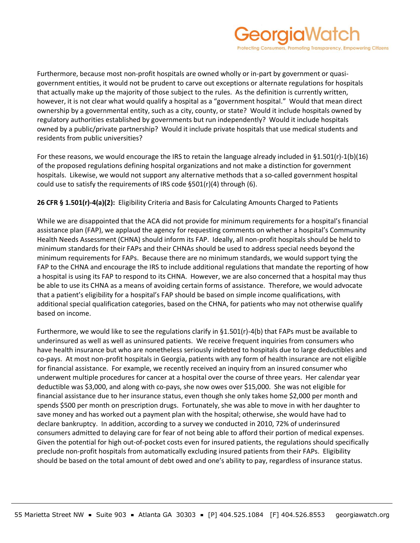

Furthermore, because most non-profit hospitals are owned wholly or in-part by government or quasigovernment entities, it would not be prudent to carve out exceptions or alternate regulations for hospitals that actually make up the majority of those subject to the rules. As the definition is currently written, however, it is not clear what would qualify a hospital as a "government hospital." Would that mean direct ownership by a governmental entity, such as a city, county, or state? Would it include hospitals owned by regulatory authorities established by governments but run independently? Would it include hospitals owned by a public/private partnership? Would it include private hospitals that use medical students and residents from public universities?

For these reasons, we would encourage the IRS to retain the language already included in §1.501(r)-1(b)(16) of the proposed regulations defining hospital organizations and not make a distinction for government hospitals. Likewise, we would not support any alternative methods that a so-called government hospital could use to satisfy the requirements of IRS code §501(r)(4) through (6).

# **26 CFR § 1.501(r)-4(a)(2):** Eligibility Criteria and Basis for Calculating Amounts Charged to Patients

While we are disappointed that the ACA did not provide for minimum requirements for a hospital's financial assistance plan (FAP), we applaud the agency for requesting comments on whether a hospital's Community Health Needs Assessment (CHNA) should inform its FAP. Ideally, all non-profit hospitals should be held to minimum standards for their FAPs and their CHNAs should be used to address special needs beyond the minimum requirements for FAPs. Because there are no minimum standards, we would support tying the FAP to the CHNA and encourage the IRS to include additional regulations that mandate the reporting of how a hospital is using its FAP to respond to its CHNA. However, we are also concerned that a hospital may thus be able to use its CHNA as a means of avoiding certain forms of assistance. Therefore, we would advocate that a patient's eligibility for a hospital's FAP should be based on simple income qualifications, with additional special qualification categories, based on the CHNA, for patients who may not otherwise qualify based on income.

Furthermore, we would like to see the regulations clarify in §1.501(r)-4(b) that FAPs must be available to underinsured as well as well as uninsured patients. We receive frequent inquiries from consumers who have health insurance but who are nonetheless seriously indebted to hospitals due to large deductibles and co-pays. At most non-profit hospitals in Georgia, patients with any form of health insurance are not eligible for financial assistance. For example, we recently received an inquiry from an insured consumer who underwent multiple procedures for cancer at a hospital over the course of three years. Her calendar year deductible was \$3,000, and along with co-pays, she now owes over \$15,000. She was not eligible for financial assistance due to her insurance status, even though she only takes home \$2,000 per month and spends \$500 per month on prescription drugs. Fortunately, she was able to move in with her daughter to save money and has worked out a payment plan with the hospital; otherwise, she would have had to declare bankruptcy. In addition, according to a survey we conducted in 2010, 72% of underinsured consumers admitted to delaying care for fear of not being able to afford their portion of medical expenses. Given the potential for high out-of-pocket costs even for insured patients, the regulations should specifically preclude non-profit hospitals from automatically excluding insured patients from their FAPs. Eligibility should be based on the total amount of debt owed and one's ability to pay, regardless of insurance status.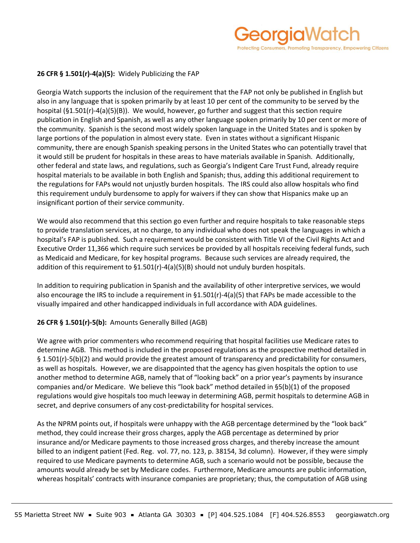# **26 CFR § 1.501(r)-4(a)(5):** Widely Publicizing the FAP

Georgia Watch supports the inclusion of the requirement that the FAP not only be published in English but also in any language that is spoken primarily by at least 10 per cent of the community to be served by the hospital (§1.501(r)-4(a)(5)(B)). We would, however, go further and suggest that this section require publication in English and Spanish, as well as any other language spoken primarily by 10 per cent or more of the community. Spanish is the second most widely spoken language in the United States and is spoken by large portions of the population in almost every state. Even in states without a significant Hispanic community, there are enough Spanish speaking persons in the United States who can potentially travel that it would still be prudent for hospitals in these areas to have materials available in Spanish. Additionally, other federal and state laws, and regulations, such as Georgia's Indigent Care Trust Fund, already require hospital materials to be available in both English and Spanish; thus, adding this additional requirement to the regulations for FAPs would not unjustly burden hospitals. The IRS could also allow hospitals who find this requirement unduly burdensome to apply for waivers if they can show that Hispanics make up an insignificant portion of their service community.

We would also recommend that this section go even further and require hospitals to take reasonable steps to provide translation services, at no charge, to any individual who does not speak the languages in which a hospital's FAP is published. Such a requirement would be consistent with Title VI of the Civil Rights Act and Executive Order 11,366 which require such services be provided by all hospitals receiving federal funds, such as Medicaid and Medicare, for key hospital programs. Because such services are already required, the addition of this requirement to §1.501(r)-4(a)(5)(B) should not unduly burden hospitals.

In addition to requiring publication in Spanish and the availability of other interpretive services, we would also encourage the IRS to include a requirement in §1.501(r)-4(a)(5) that FAPs be made accessible to the visually impaired and other handicapped individuals in full accordance with ADA guidelines.

# **26 CFR § 1.501(r)-5(b):** Amounts Generally Billed (AGB)

We agree with prior commenters who recommend requiring that hospital facilities use Medicare rates to determine AGB. This method is included in the proposed regulations as the prospective method detailed in § 1.501(r)-5(b)(2) and would provide the greatest amount of transparency and predictability for consumers, as well as hospitals. However, we are disappointed that the agency has given hospitals the option to use another method to determine AGB, namely that of "looking back" on a prior year's payments by insurance companies and/or Medicare. We believe this "look back" method detailed in §5(b)(1) of the proposed regulations would give hospitals too much leeway in determining AGB, permit hospitals to determine AGB in secret, and deprive consumers of any cost-predictability for hospital services.

As the NPRM points out, if hospitals were unhappy with the AGB percentage determined by the "look back" method, they could increase their gross charges, apply the AGB percentage as determined by prior insurance and/or Medicare payments to those increased gross charges, and thereby increase the amount billed to an indigent patient (Fed. Reg. vol. 77, no. 123, p. 38154, 3d column). However, if they were simply required to use Medicare payments to determine AGB, such a scenario would not be possible, because the amounts would already be set by Medicare codes. Furthermore, Medicare amounts are public information, whereas hospitals' contracts with insurance companies are proprietary; thus, the computation of AGB using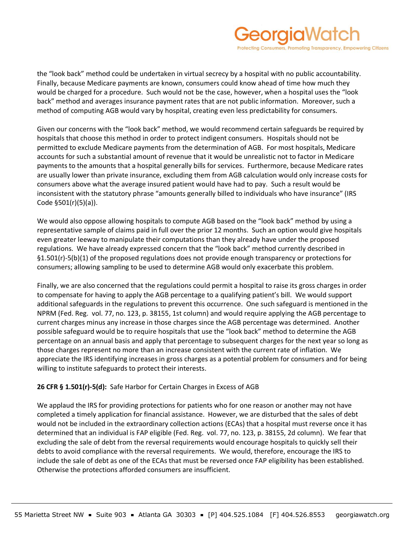# eorgiaWatch rotecting Consumers, Promoting Transparency, Empowering Citizens

the "look back" method could be undertaken in virtual secrecy by a hospital with no public accountability. Finally, because Medicare payments are known, consumers could know ahead of time how much they would be charged for a procedure. Such would not be the case, however, when a hospital uses the "look back" method and averages insurance payment rates that are not public information. Moreover, such a method of computing AGB would vary by hospital, creating even less predictability for consumers.

Given our concerns with the "look back" method, we would recommend certain safeguards be required by hospitals that choose this method in order to protect indigent consumers. Hospitals should not be permitted to exclude Medicare payments from the determination of AGB. For most hospitals, Medicare accounts for such a substantial amount of revenue that it would be unrealistic not to factor in Medicare payments to the amounts that a hospital generally bills for services. Furthermore, because Medicare rates are usually lower than private insurance, excluding them from AGB calculation would only increase costs for consumers above what the average insured patient would have had to pay. Such a result would be inconsistent with the statutory phrase "amounts generally billed to individuals who have insurance" (IRS Code §501(r)(5)(a)).

We would also oppose allowing hospitals to compute AGB based on the "look back" method by using a representative sample of claims paid in full over the prior 12 months. Such an option would give hospitals even greater leeway to manipulate their computations than they already have under the proposed regulations. We have already expressed concern that the "look back" method currently described in §1.501(r)-5(b)(1) of the proposed regulations does not provide enough transparency or protections for consumers; allowing sampling to be used to determine AGB would only exacerbate this problem.

Finally, we are also concerned that the regulations could permit a hospital to raise its gross charges in order to compensate for having to apply the AGB percentage to a qualifying patient's bill. We would support additional safeguards in the regulations to prevent this occurrence. One such safeguard is mentioned in the NPRM (Fed. Reg. vol. 77, no. 123, p. 38155, 1st column) and would require applying the AGB percentage to current charges minus any increase in those charges since the AGB percentage was determined. Another possible safeguard would be to require hospitals that use the "look back" method to determine the AGB percentage on an annual basis and apply that percentage to subsequent charges for the next year so long as those charges represent no more than an increase consistent with the current rate of inflation. We appreciate the IRS identifying increases in gross charges as a potential problem for consumers and for being willing to institute safeguards to protect their interests.

# **26 CFR § 1.501(r)-5(d):** Safe Harbor for Certain Charges in Excess of AGB

We applaud the IRS for providing protections for patients who for one reason or another may not have completed a timely application for financial assistance. However, we are disturbed that the sales of debt would not be included in the extraordinary collection actions (ECAs) that a hospital must reverse once it has determined that an individual is FAP eligible (Fed. Reg. vol. 77, no. 123, p. 38155, 2d column). We fear that excluding the sale of debt from the reversal requirements would encourage hospitals to quickly sell their debts to avoid compliance with the reversal requirements. We would, therefore, encourage the IRS to include the sale of debt as one of the ECAs that must be reversed once FAP eligibility has been established. Otherwise the protections afforded consumers are insufficient.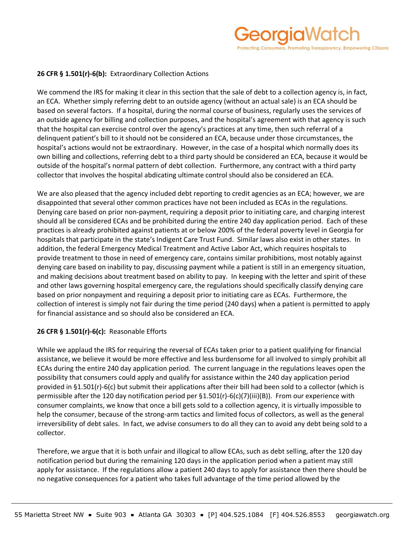# **26 CFR § 1.501(r)-6(b):** Extraordinary Collection Actions

We commend the IRS for making it clear in this section that the sale of debt to a collection agency is, in fact, an ECA. Whether simply referring debt to an outside agency (without an actual sale) is an ECA should be based on several factors. If a hospital, during the normal course of business, regularly uses the services of an outside agency for billing and collection purposes, and the hospital's agreement with that agency is such that the hospital can exercise control over the agency's practices at any time, then such referral of a delinquent patient's bill to it should not be considered an ECA, because under those circumstances, the hospital's actions would not be extraordinary. However, in the case of a hospital which normally does its own billing and collections, referring debt to a third party should be considered an ECA, because it would be outside of the hospital's normal pattern of debt collection. Furthermore, any contract with a third party collector that involves the hospital abdicating ultimate control should also be considered an ECA.

We are also pleased that the agency included debt reporting to credit agencies as an ECA; however, we are disappointed that several other common practices have not been included as ECAs in the regulations. Denying care based on prior non-payment, requiring a deposit prior to initiating care, and charging interest should all be considered ECAs and be prohibited during the entire 240 day application period. Each of these practices is already prohibited against patients at or below 200% of the federal poverty level in Georgia for hospitals that participate in the state's Indigent Care Trust Fund. Similar laws also exist in other states. In addition, the federal Emergency Medical Treatment and Active Labor Act, which requires hospitals to provide treatment to those in need of emergency care, contains similar prohibitions, most notably against denying care based on inability to pay, discussing payment while a patient is still in an emergency situation, and making decisions about treatment based on ability to pay. In keeping with the letter and spirit of these and other laws governing hospital emergency care, the regulations should specifically classify denying care based on prior nonpayment and requiring a deposit prior to initiating care as ECAs. Furthermore, the collection of interest is simply not fair during the time period (240 days) when a patient is permitted to apply for financial assistance and so should also be considered an ECA.

# **26 CFR § 1.501(r)-6(c):** Reasonable Efforts

While we applaud the IRS for requiring the reversal of ECAs taken prior to a patient qualifying for financial assistance, we believe it would be more effective and less burdensome for all involved to simply prohibit all ECAs during the entire 240 day application period. The current language in the regulations leaves open the possibility that consumers could apply and qualify for assistance within the 240 day application period provided in §1.501(r)-6(c) but submit their applications after their bill had been sold to a collector (which is permissible after the 120 day notification period per §1.501(r)-6(c)(7)(iii)(B)). From our experience with consumer complaints, we know that once a bill gets sold to a collection agency, it is virtually impossible to help the consumer, because of the strong-arm tactics and limited focus of collectors, as well as the general irreversibility of debt sales. In fact, we advise consumers to do all they can to avoid any debt being sold to a collector.

Therefore, we argue that it is both unfair and illogical to allow ECAs, such as debt selling, after the 120 day notification period but during the remaining 120 days in the application period when a patient may still apply for assistance. If the regulations allow a patient 240 days to apply for assistance then there should be no negative consequences for a patient who takes full advantage of the time period allowed by the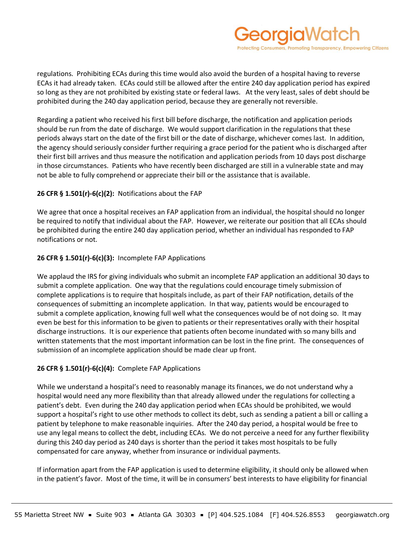

regulations. Prohibiting ECAs during this time would also avoid the burden of a hospital having to reverse ECAs it had already taken. ECAs could still be allowed after the entire 240 day application period has expired so long as they are not prohibited by existing state or federal laws. At the very least, sales of debt should be prohibited during the 240 day application period, because they are generally not reversible.

Regarding a patient who received his first bill before discharge, the notification and application periods should be run from the date of discharge. We would support clarification in the regulations that these periods always start on the date of the first bill or the date of discharge, whichever comes last. In addition, the agency should seriously consider further requiring a grace period for the patient who is discharged after their first bill arrives and thus measure the notification and application periods from 10 days post discharge in those circumstances. Patients who have recently been discharged are still in a vulnerable state and may not be able to fully comprehend or appreciate their bill or the assistance that is available.

# **26 CFR § 1.501(r)-6(c)(2):** Notifications about the FAP

We agree that once a hospital receives an FAP application from an individual, the hospital should no longer be required to notify that individual about the FAP. However, we reiterate our position that all ECAs should be prohibited during the entire 240 day application period, whether an individual has responded to FAP notifications or not.

# **26 CFR § 1.501(r)-6(c)(3):** Incomplete FAP Applications

We applaud the IRS for giving individuals who submit an incomplete FAP application an additional 30 days to submit a complete application. One way that the regulations could encourage timely submission of complete applications is to require that hospitals include, as part of their FAP notification, details of the consequences of submitting an incomplete application. In that way, patients would be encouraged to submit a complete application, knowing full well what the consequences would be of not doing so. It may even be best for this information to be given to patients or their representatives orally with their hospital discharge instructions. It is our experience that patients often become inundated with so many bills and written statements that the most important information can be lost in the fine print. The consequences of submission of an incomplete application should be made clear up front.

# **26 CFR § 1.501(r)-6(c)(4):** Complete FAP Applications

While we understand a hospital's need to reasonably manage its finances, we do not understand why a hospital would need any more flexibility than that already allowed under the regulations for collecting a patient's debt. Even during the 240 day application period when ECAs should be prohibited, we would support a hospital's right to use other methods to collect its debt, such as sending a patient a bill or calling a patient by telephone to make reasonable inquiries. After the 240 day period, a hospital would be free to use any legal means to collect the debt, including ECAs. We do not perceive a need for any further flexibility during this 240 day period as 240 days is shorter than the period it takes most hospitals to be fully compensated for care anyway, whether from insurance or individual payments.

If information apart from the FAP application is used to determine eligibility, it should only be allowed when in the patient's favor. Most of the time, it will be in consumers' best interests to have eligibility for financial